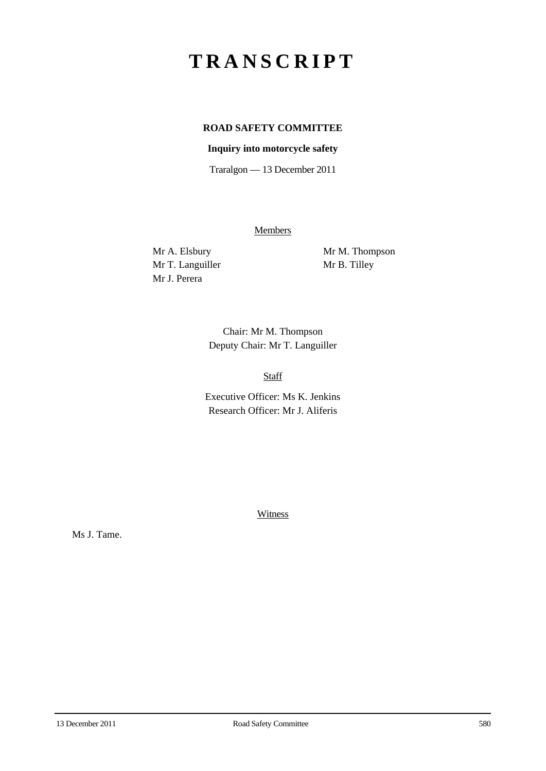## **TRANSCRIPT**

## **ROAD SAFETY COMMITTEE**

## **Inquiry into motorcycle safety**

Traralgon — 13 December 2011

**Members** 

Mr T. Languiller Mr B. Tilley Mr J. Perera

Mr A. Elsbury Mr M. Thompson

Chair: Mr M. Thompson Deputy Chair: Mr T. Languiller

Staff

Executive Officer: Ms K. Jenkins Research Officer: Mr J. Aliferis

**Witness** 

Ms J. Tame.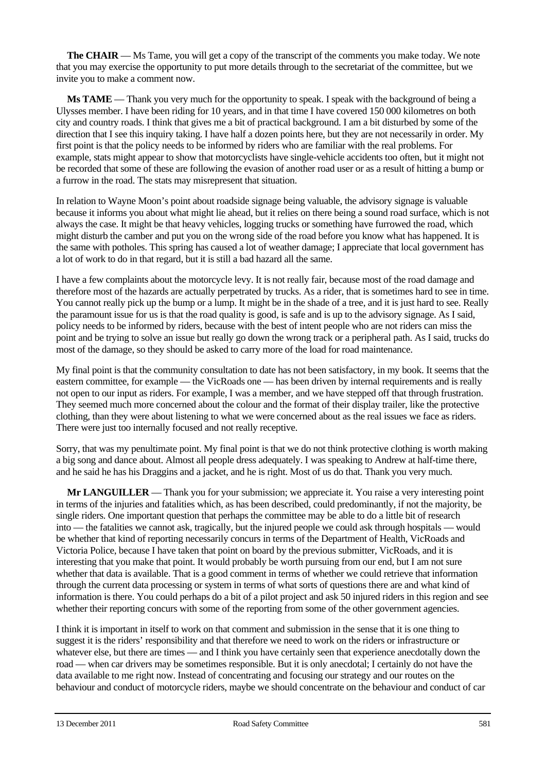**The CHAIR** — Ms Tame, you will get a copy of the transcript of the comments you make today. We note that you may exercise the opportunity to put more details through to the secretariat of the committee, but we invite you to make a comment now.

**Ms TAME** — Thank you very much for the opportunity to speak. I speak with the background of being a Ulysses member. I have been riding for 10 years, and in that time I have covered 150 000 kilometres on both city and country roads. I think that gives me a bit of practical background. I am a bit disturbed by some of the direction that I see this inquiry taking. I have half a dozen points here, but they are not necessarily in order. My first point is that the policy needs to be informed by riders who are familiar with the real problems. For example, stats might appear to show that motorcyclists have single-vehicle accidents too often, but it might not be recorded that some of these are following the evasion of another road user or as a result of hitting a bump or a furrow in the road. The stats may misrepresent that situation.

In relation to Wayne Moon's point about roadside signage being valuable, the advisory signage is valuable because it informs you about what might lie ahead, but it relies on there being a sound road surface, which is not always the case. It might be that heavy vehicles, logging trucks or something have furrowed the road, which might disturb the camber and put you on the wrong side of the road before you know what has happened. It is the same with potholes. This spring has caused a lot of weather damage; I appreciate that local government has a lot of work to do in that regard, but it is still a bad hazard all the same.

I have a few complaints about the motorcycle levy. It is not really fair, because most of the road damage and therefore most of the hazards are actually perpetrated by trucks. As a rider, that is sometimes hard to see in time. You cannot really pick up the bump or a lump. It might be in the shade of a tree, and it is just hard to see. Really the paramount issue for us is that the road quality is good, is safe and is up to the advisory signage. As I said, policy needs to be informed by riders, because with the best of intent people who are not riders can miss the point and be trying to solve an issue but really go down the wrong track or a peripheral path. As I said, trucks do most of the damage, so they should be asked to carry more of the load for road maintenance.

My final point is that the community consultation to date has not been satisfactory, in my book. It seems that the eastern committee, for example — the VicRoads one — has been driven by internal requirements and is really not open to our input as riders. For example, I was a member, and we have stepped off that through frustration. They seemed much more concerned about the colour and the format of their display trailer, like the protective clothing, than they were about listening to what we were concerned about as the real issues we face as riders. There were just too internally focused and not really receptive.

Sorry, that was my penultimate point. My final point is that we do not think protective clothing is worth making a big song and dance about. Almost all people dress adequately. I was speaking to Andrew at half-time there, and he said he has his Draggins and a jacket, and he is right. Most of us do that. Thank you very much.

**Mr LANGUILLER** — Thank you for your submission; we appreciate it. You raise a very interesting point in terms of the injuries and fatalities which, as has been described, could predominantly, if not the majority, be single riders. One important question that perhaps the committee may be able to do a little bit of research into — the fatalities we cannot ask, tragically, but the injured people we could ask through hospitals — would be whether that kind of reporting necessarily concurs in terms of the Department of Health, VicRoads and Victoria Police, because I have taken that point on board by the previous submitter, VicRoads, and it is interesting that you make that point. It would probably be worth pursuing from our end, but I am not sure whether that data is available. That is a good comment in terms of whether we could retrieve that information through the current data processing or system in terms of what sorts of questions there are and what kind of information is there. You could perhaps do a bit of a pilot project and ask 50 injured riders in this region and see whether their reporting concurs with some of the reporting from some of the other government agencies.

I think it is important in itself to work on that comment and submission in the sense that it is one thing to suggest it is the riders' responsibility and that therefore we need to work on the riders or infrastructure or whatever else, but there are times — and I think you have certainly seen that experience anecdotally down the road — when car drivers may be sometimes responsible. But it is only anecdotal; I certainly do not have the data available to me right now. Instead of concentrating and focusing our strategy and our routes on the behaviour and conduct of motorcycle riders, maybe we should concentrate on the behaviour and conduct of car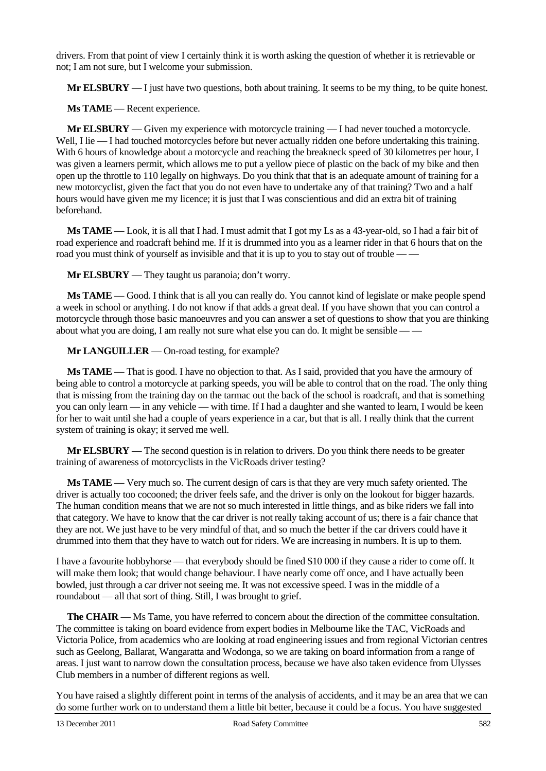drivers. From that point of view I certainly think it is worth asking the question of whether it is retrievable or not; I am not sure, but I welcome your submission.

**Mr ELSBURY** — I just have two questions, both about training. It seems to be my thing, to be quite honest.

**Ms TAME** — Recent experience.

**Mr ELSBURY** — Given my experience with motorcycle training — I had never touched a motorcycle. Well, I lie — I had touched motorcycles before but never actually ridden one before undertaking this training. With 6 hours of knowledge about a motorcycle and reaching the breakneck speed of 30 kilometres per hour, I was given a learners permit, which allows me to put a yellow piece of plastic on the back of my bike and then open up the throttle to 110 legally on highways. Do you think that that is an adequate amount of training for a new motorcyclist, given the fact that you do not even have to undertake any of that training? Two and a half hours would have given me my licence; it is just that I was conscientious and did an extra bit of training beforehand.

**Ms TAME** — Look, it is all that I had. I must admit that I got my Ls as a 43-year-old, so I had a fair bit of road experience and roadcraft behind me. If it is drummed into you as a learner rider in that 6 hours that on the road you must think of yourself as invisible and that it is up to you to stay out of trouble — —

**Mr ELSBURY** — They taught us paranoia; don't worry.

**Ms TAME** — Good. I think that is all you can really do. You cannot kind of legislate or make people spend a week in school or anything. I do not know if that adds a great deal. If you have shown that you can control a motorcycle through those basic manoeuvres and you can answer a set of questions to show that you are thinking about what you are doing, I am really not sure what else you can do. It might be sensible — —

**Mr LANGUILLER** — On-road testing, for example?

**Ms TAME** — That is good. I have no objection to that. As I said, provided that you have the armoury of being able to control a motorcycle at parking speeds, you will be able to control that on the road. The only thing that is missing from the training day on the tarmac out the back of the school is roadcraft, and that is something you can only learn — in any vehicle — with time. If I had a daughter and she wanted to learn, I would be keen for her to wait until she had a couple of years experience in a car, but that is all. I really think that the current system of training is okay; it served me well.

**Mr ELSBURY** — The second question is in relation to drivers. Do you think there needs to be greater training of awareness of motorcyclists in the VicRoads driver testing?

**Ms TAME** — Very much so. The current design of cars is that they are very much safety oriented. The driver is actually too cocooned; the driver feels safe, and the driver is only on the lookout for bigger hazards. The human condition means that we are not so much interested in little things, and as bike riders we fall into that category. We have to know that the car driver is not really taking account of us; there is a fair chance that they are not. We just have to be very mindful of that, and so much the better if the car drivers could have it drummed into them that they have to watch out for riders. We are increasing in numbers. It is up to them.

I have a favourite hobbyhorse — that everybody should be fined \$10 000 if they cause a rider to come off. It will make them look; that would change behaviour. I have nearly come off once, and I have actually been bowled, just through a car driver not seeing me. It was not excessive speed. I was in the middle of a roundabout — all that sort of thing. Still, I was brought to grief.

**The CHAIR** — Ms Tame, you have referred to concern about the direction of the committee consultation. The committee is taking on board evidence from expert bodies in Melbourne like the TAC, VicRoads and Victoria Police, from academics who are looking at road engineering issues and from regional Victorian centres such as Geelong, Ballarat, Wangaratta and Wodonga, so we are taking on board information from a range of areas. I just want to narrow down the consultation process, because we have also taken evidence from Ulysses Club members in a number of different regions as well.

You have raised a slightly different point in terms of the analysis of accidents, and it may be an area that we can do some further work on to understand them a little bit better, because it could be a focus. You have suggested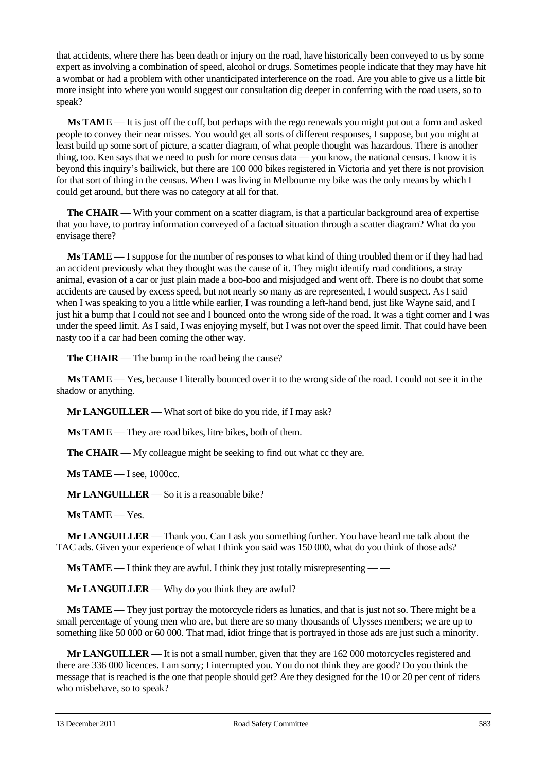that accidents, where there has been death or injury on the road, have historically been conveyed to us by some expert as involving a combination of speed, alcohol or drugs. Sometimes people indicate that they may have hit a wombat or had a problem with other unanticipated interference on the road. Are you able to give us a little bit more insight into where you would suggest our consultation dig deeper in conferring with the road users, so to speak?

**Ms TAME** — It is just off the cuff, but perhaps with the rego renewals you might put out a form and asked people to convey their near misses. You would get all sorts of different responses, I suppose, but you might at least build up some sort of picture, a scatter diagram, of what people thought was hazardous. There is another thing, too. Ken says that we need to push for more census data — you know, the national census. I know it is beyond this inquiry's bailiwick, but there are 100 000 bikes registered in Victoria and yet there is not provision for that sort of thing in the census. When I was living in Melbourne my bike was the only means by which I could get around, but there was no category at all for that.

**The CHAIR** — With your comment on a scatter diagram, is that a particular background area of expertise that you have, to portray information conveyed of a factual situation through a scatter diagram? What do you envisage there?

**Ms TAME** — I suppose for the number of responses to what kind of thing troubled them or if they had had an accident previously what they thought was the cause of it. They might identify road conditions, a stray animal, evasion of a car or just plain made a boo-boo and misjudged and went off. There is no doubt that some accidents are caused by excess speed, but not nearly so many as are represented, I would suspect. As I said when I was speaking to you a little while earlier, I was rounding a left-hand bend, just like Wayne said, and I just hit a bump that I could not see and I bounced onto the wrong side of the road. It was a tight corner and I was under the speed limit. As I said, I was enjoying myself, but I was not over the speed limit. That could have been nasty too if a car had been coming the other way.

**The CHAIR** — The bump in the road being the cause?

**Ms TAME** — Yes, because I literally bounced over it to the wrong side of the road. I could not see it in the shadow or anything.

**Mr LANGUILLER** — What sort of bike do you ride, if I may ask?

**Ms TAME** — They are road bikes, litre bikes, both of them.

**The CHAIR** — My colleague might be seeking to find out what cc they are.

**Ms TAME** — I see, 1000cc.

**Mr LANGUILLER** — So it is a reasonable bike?

**Ms TAME** — Yes.

**Mr LANGUILLER** — Thank you. Can I ask you something further. You have heard me talk about the TAC ads. Given your experience of what I think you said was 150 000, what do you think of those ads?

**Ms TAME** — I think they are awful. I think they just totally misrepresenting — —

**Mr LANGUILLER** — Why do you think they are awful?

**Ms TAME** — They just portray the motorcycle riders as lunatics, and that is just not so. There might be a small percentage of young men who are, but there are so many thousands of Ulysses members; we are up to something like 50 000 or 60 000. That mad, idiot fringe that is portrayed in those ads are just such a minority.

**Mr LANGUILLER** — It is not a small number, given that they are 162 000 motorcycles registered and there are 336 000 licences. I am sorry; I interrupted you. You do not think they are good? Do you think the message that is reached is the one that people should get? Are they designed for the 10 or 20 per cent of riders who misbehave, so to speak?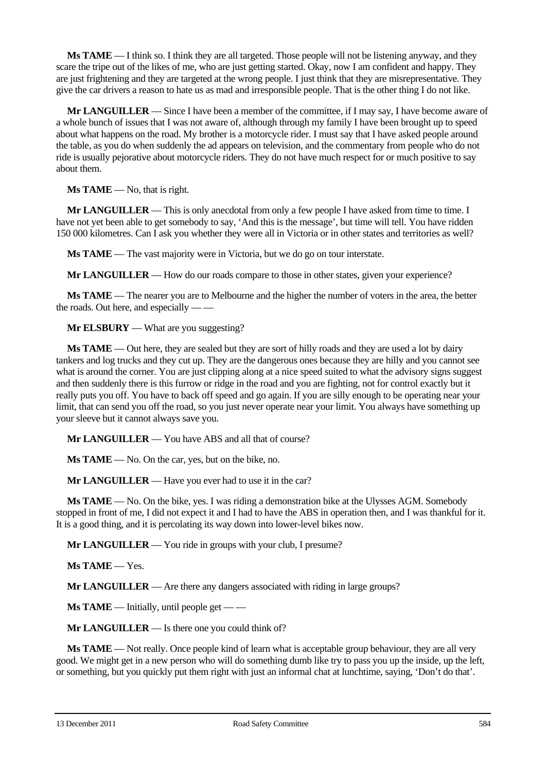**Ms TAME** — I think so. I think they are all targeted. Those people will not be listening anyway, and they scare the tripe out of the likes of me, who are just getting started. Okay, now I am confident and happy. They are just frightening and they are targeted at the wrong people. I just think that they are misrepresentative. They give the car drivers a reason to hate us as mad and irresponsible people. That is the other thing I do not like.

**Mr LANGUILLER** — Since I have been a member of the committee, if I may say, I have become aware of a whole bunch of issues that I was not aware of, although through my family I have been brought up to speed about what happens on the road. My brother is a motorcycle rider. I must say that I have asked people around the table, as you do when suddenly the ad appears on television, and the commentary from people who do not ride is usually pejorative about motorcycle riders. They do not have much respect for or much positive to say about them.

**Ms TAME** — No, that is right.

**Mr LANGUILLER** — This is only anecdotal from only a few people I have asked from time to time. I have not yet been able to get somebody to say, 'And this is the message', but time will tell. You have ridden 150 000 kilometres. Can I ask you whether they were all in Victoria or in other states and territories as well?

**Ms TAME** — The vast majority were in Victoria, but we do go on tour interstate.

**Mr LANGUILLER** — How do our roads compare to those in other states, given your experience?

**Ms TAME** — The nearer you are to Melbourne and the higher the number of voters in the area, the better the roads. Out here, and especially  $\frac{1}{2}$ 

**Mr ELSBURY** — What are you suggesting?

**Ms TAME** — Out here, they are sealed but they are sort of hilly roads and they are used a lot by dairy tankers and log trucks and they cut up. They are the dangerous ones because they are hilly and you cannot see what is around the corner. You are just clipping along at a nice speed suited to what the advisory signs suggest and then suddenly there is this furrow or ridge in the road and you are fighting, not for control exactly but it really puts you off. You have to back off speed and go again. If you are silly enough to be operating near your limit, that can send you off the road, so you just never operate near your limit. You always have something up your sleeve but it cannot always save you.

**Mr LANGUILLER** — You have ABS and all that of course?

**Ms TAME** — No. On the car, yes, but on the bike, no.

**Mr LANGUILLER** — Have you ever had to use it in the car?

**Ms TAME** — No. On the bike, yes. I was riding a demonstration bike at the Ulysses AGM. Somebody stopped in front of me, I did not expect it and I had to have the ABS in operation then, and I was thankful for it. It is a good thing, and it is percolating its way down into lower-level bikes now.

**Mr LANGUILLER** — You ride in groups with your club, I presume?

**Ms TAME** — Yes.

**Mr LANGUILLER** — Are there any dangers associated with riding in large groups?

**Ms TAME** — Initially, until people get — —

**Mr LANGUILLER** — Is there one you could think of?

**Ms TAME** — Not really. Once people kind of learn what is acceptable group behaviour, they are all very good. We might get in a new person who will do something dumb like try to pass you up the inside, up the left, or something, but you quickly put them right with just an informal chat at lunchtime, saying, 'Don't do that'.